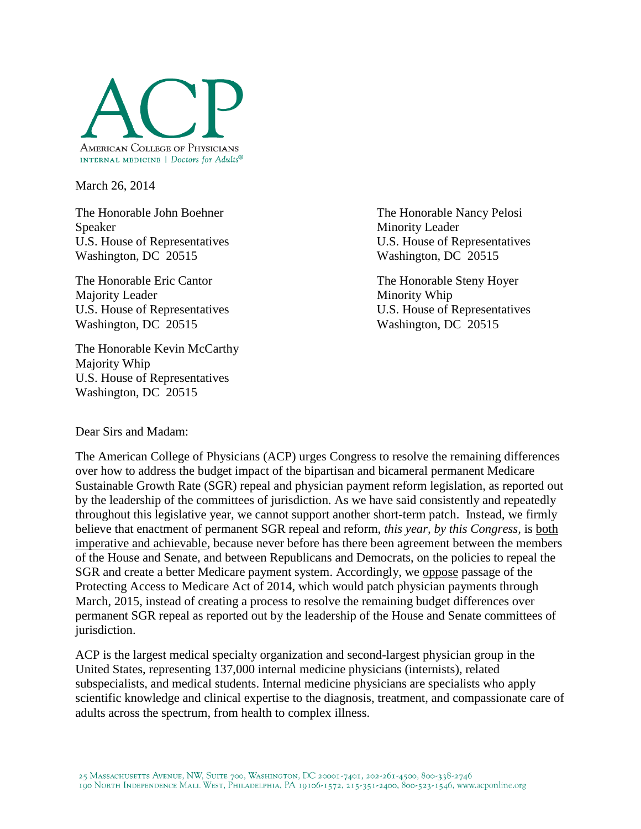

March 26, 2014

The Honorable John Boehner The Honorable Nancy Pelosi Speaker Minority Leader Washington, DC 20515 Washington, DC 20515

The Honorable Eric Cantor The Honorable Steny Hoyer Majority Leader Minority Whip Washington, DC 20515 Washington, DC 20515

The Honorable Kevin McCarthy Majority Whip U.S. House of Representatives Washington, DC 20515

U.S. House of Representatives U.S. House of Representatives

U.S. House of Representatives U.S. House of Representatives

Dear Sirs and Madam:

The American College of Physicians (ACP) urges Congress to resolve the remaining differences over how to address the budget impact of the bipartisan and bicameral permanent Medicare Sustainable Growth Rate (SGR) repeal and physician payment reform legislation, as reported out by the leadership of the committees of jurisdiction. As we have said consistently and repeatedly throughout this legislative year, we cannot support another short-term patch. Instead, we firmly believe that enactment of permanent SGR repeal and reform, *this year, by this Congress,* is both imperative and achievable, because never before has there been agreement between the members of the House and Senate, and between Republicans and Democrats, on the policies to repeal the SGR and create a better Medicare payment system. Accordingly, we oppose passage of the Protecting Access to Medicare Act of 2014, which would patch physician payments through March, 2015, instead of creating a process to resolve the remaining budget differences over permanent SGR repeal as reported out by the leadership of the House and Senate committees of jurisdiction.

ACP is the largest medical specialty organization and second-largest physician group in the United States, representing 137,000 internal medicine physicians (internists), related subspecialists, and medical students. Internal medicine physicians are specialists who apply scientific knowledge and clinical expertise to the diagnosis, treatment, and compassionate care of adults across the spectrum, from health to complex illness.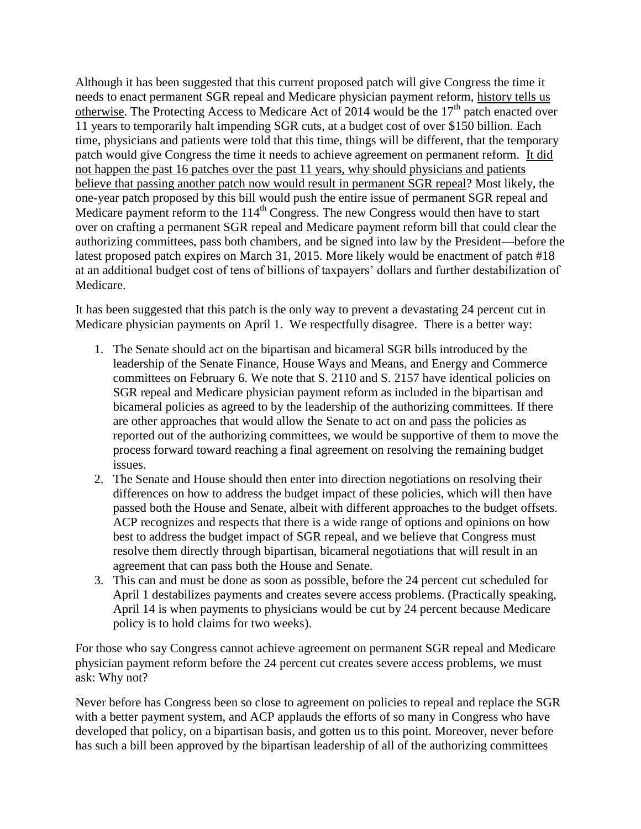Although it has been suggested that this current proposed patch will give Congress the time it needs to enact permanent SGR repeal and Medicare physician payment reform, history tells us otherwise. The Protecting Access to Medicare Act of 2014 would be the  $17<sup>th</sup>$  patch enacted over 11 years to temporarily halt impending SGR cuts, at a budget cost of over \$150 billion. Each time, physicians and patients were told that this time, things will be different, that the temporary patch would give Congress the time it needs to achieve agreement on permanent reform. It did not happen the past 16 patches over the past 11 years, why should physicians and patients believe that passing another patch now would result in permanent SGR repeal? Most likely, the one-year patch proposed by this bill would push the entire issue of permanent SGR repeal and Medicare payment reform to the  $114<sup>th</sup>$  Congress. The new Congress would then have to start over on crafting a permanent SGR repeal and Medicare payment reform bill that could clear the authorizing committees, pass both chambers, and be signed into law by the President—before the latest proposed patch expires on March 31, 2015. More likely would be enactment of patch #18 at an additional budget cost of tens of billions of taxpayers' dollars and further destabilization of Medicare.

It has been suggested that this patch is the only way to prevent a devastating 24 percent cut in Medicare physician payments on April 1. We respectfully disagree. There is a better way:

- 1. The Senate should act on the bipartisan and bicameral SGR bills introduced by the leadership of the Senate Finance, House Ways and Means, and Energy and Commerce committees on February 6. We note that S. 2110 and S. 2157 have identical policies on SGR repeal and Medicare physician payment reform as included in the bipartisan and bicameral policies as agreed to by the leadership of the authorizing committees. If there are other approaches that would allow the Senate to act on and pass the policies as reported out of the authorizing committees, we would be supportive of them to move the process forward toward reaching a final agreement on resolving the remaining budget issues.
- 2. The Senate and House should then enter into direction negotiations on resolving their differences on how to address the budget impact of these policies, which will then have passed both the House and Senate, albeit with different approaches to the budget offsets. ACP recognizes and respects that there is a wide range of options and opinions on how best to address the budget impact of SGR repeal, and we believe that Congress must resolve them directly through bipartisan, bicameral negotiations that will result in an agreement that can pass both the House and Senate.
- 3. This can and must be done as soon as possible, before the 24 percent cut scheduled for April 1 destabilizes payments and creates severe access problems. (Practically speaking, April 14 is when payments to physicians would be cut by 24 percent because Medicare policy is to hold claims for two weeks).

For those who say Congress cannot achieve agreement on permanent SGR repeal and Medicare physician payment reform before the 24 percent cut creates severe access problems, we must ask: Why not?

Never before has Congress been so close to agreement on policies to repeal and replace the SGR with a better payment system, and ACP applauds the efforts of so many in Congress who have developed that policy, on a bipartisan basis, and gotten us to this point. Moreover, never before has such a bill been approved by the bipartisan leadership of all of the authorizing committees